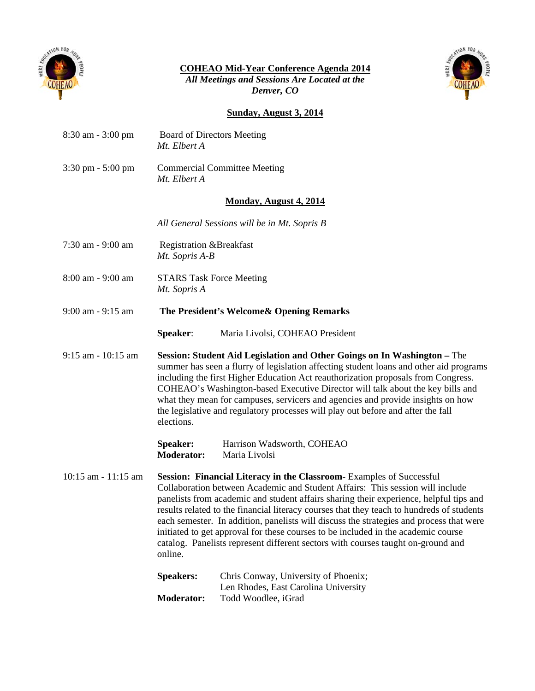

**COHEAO Mid-Year Conference Agenda 2014**

*All Meetings and Sessions Are Located at the Denver, CO*



## **Sunday, August 3, 2014**

| 8:30 am - 3:00 pm                   | <b>Board of Directors Meeting</b><br>Mt. Elbert A                                                                                                                                                                                                                                                                                                                                                                                                                                                                                                                                                                                 |                                                                                                     |  |  |  |
|-------------------------------------|-----------------------------------------------------------------------------------------------------------------------------------------------------------------------------------------------------------------------------------------------------------------------------------------------------------------------------------------------------------------------------------------------------------------------------------------------------------------------------------------------------------------------------------------------------------------------------------------------------------------------------------|-----------------------------------------------------------------------------------------------------|--|--|--|
| $3:30 \text{ pm} - 5:00 \text{ pm}$ | <b>Commercial Committee Meeting</b><br>Mt. Elbert A                                                                                                                                                                                                                                                                                                                                                                                                                                                                                                                                                                               |                                                                                                     |  |  |  |
| <b>Monday, August 4, 2014</b>       |                                                                                                                                                                                                                                                                                                                                                                                                                                                                                                                                                                                                                                   |                                                                                                     |  |  |  |
|                                     | All General Sessions will be in Mt. Sopris B                                                                                                                                                                                                                                                                                                                                                                                                                                                                                                                                                                                      |                                                                                                     |  |  |  |
| 7:30 am - 9:00 am                   | Registration &Breakfast<br>Mt. Sopris A-B                                                                                                                                                                                                                                                                                                                                                                                                                                                                                                                                                                                         |                                                                                                     |  |  |  |
| 8:00 am - 9:00 am                   | <b>STARS Task Force Meeting</b><br>Mt. Sopris A                                                                                                                                                                                                                                                                                                                                                                                                                                                                                                                                                                                   |                                                                                                     |  |  |  |
| $9:00$ am - $9:15$ am               | The President's Welcome & Opening Remarks                                                                                                                                                                                                                                                                                                                                                                                                                                                                                                                                                                                         |                                                                                                     |  |  |  |
|                                     | Speaker:                                                                                                                                                                                                                                                                                                                                                                                                                                                                                                                                                                                                                          | Maria Livolsi, COHEAO President                                                                     |  |  |  |
| $9:15$ am - 10:15 am                | Session: Student Aid Legislation and Other Goings on In Washington - The<br>summer has seen a flurry of legislation affecting student loans and other aid programs<br>including the first Higher Education Act reauthorization proposals from Congress.<br>COHEAO's Washington-based Executive Director will talk about the key bills and<br>what they mean for campuses, servicers and agencies and provide insights on how<br>the legislative and regulatory processes will play out before and after the fall<br>elections.                                                                                                    |                                                                                                     |  |  |  |
|                                     | Speaker:<br><b>Moderator:</b>                                                                                                                                                                                                                                                                                                                                                                                                                                                                                                                                                                                                     | Harrison Wadsworth, COHEAO<br>Maria Livolsi                                                         |  |  |  |
| $10:15$ am - $11:15$ am             | <b>Session: Financial Literacy in the Classroom-Examples of Successful</b><br>Collaboration between Academic and Student Affairs: This session will include<br>panelists from academic and student affairs sharing their experience, helpful tips and<br>results related to the financial literacy courses that they teach to hundreds of students<br>each semester. In addition, panelists will discuss the strategies and process that were<br>initiated to get approval for these courses to be included in the academic course<br>catalog. Panelists represent different sectors with courses taught on-ground and<br>online. |                                                                                                     |  |  |  |
|                                     | <b>Speakers:</b><br><b>Moderator:</b>                                                                                                                                                                                                                                                                                                                                                                                                                                                                                                                                                                                             | Chris Conway, University of Phoenix;<br>Len Rhodes, East Carolina University<br>Todd Woodlee, iGrad |  |  |  |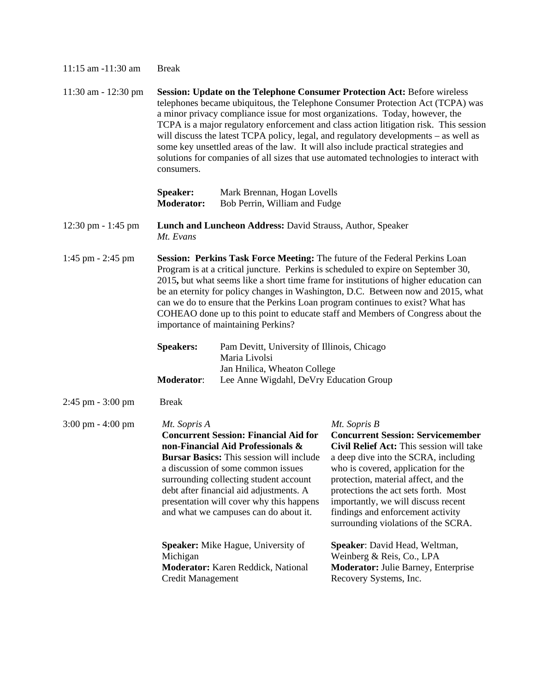| 11:15 am -11:30 am                   | <b>Break</b>                                                                                                                                                                                                                                                                                                                                                                                                                                                                                                                                                                                                                                  |  |                                                                                                                                                                                                                                                                                                                                                                                        |  |  |
|--------------------------------------|-----------------------------------------------------------------------------------------------------------------------------------------------------------------------------------------------------------------------------------------------------------------------------------------------------------------------------------------------------------------------------------------------------------------------------------------------------------------------------------------------------------------------------------------------------------------------------------------------------------------------------------------------|--|----------------------------------------------------------------------------------------------------------------------------------------------------------------------------------------------------------------------------------------------------------------------------------------------------------------------------------------------------------------------------------------|--|--|
| 11:30 am - 12:30 pm                  | <b>Session: Update on the Telephone Consumer Protection Act: Before wireless</b><br>telephones became ubiquitous, the Telephone Consumer Protection Act (TCPA) was<br>a minor privacy compliance issue for most organizations. Today, however, the<br>TCPA is a major regulatory enforcement and class action litigation risk. This session<br>will discuss the latest TCPA policy, legal, and regulatory developments – as well as<br>some key unsettled areas of the law. It will also include practical strategies and<br>solutions for companies of all sizes that use automated technologies to interact with<br>consumers.              |  |                                                                                                                                                                                                                                                                                                                                                                                        |  |  |
|                                      | <b>Speaker:</b><br>Mark Brennan, Hogan Lovells<br><b>Moderator:</b><br>Bob Perrin, William and Fudge                                                                                                                                                                                                                                                                                                                                                                                                                                                                                                                                          |  |                                                                                                                                                                                                                                                                                                                                                                                        |  |  |
| $12:30 \text{ pm} - 1:45 \text{ pm}$ | Lunch and Luncheon Address: David Strauss, Author, Speaker<br>Mt. Evans                                                                                                                                                                                                                                                                                                                                                                                                                                                                                                                                                                       |  |                                                                                                                                                                                                                                                                                                                                                                                        |  |  |
| $1:45$ pm $- 2:45$ pm                | Session: Perkins Task Force Meeting: The future of the Federal Perkins Loan<br>Program is at a critical juncture. Perkins is scheduled to expire on September 30,<br>2015, but what seems like a short time frame for institutions of higher education can<br>be an eternity for policy changes in Washington, D.C. Between now and 2015, what<br>can we do to ensure that the Perkins Loan program continues to exist? What has<br>COHEAO done up to this point to educate staff and Members of Congress about the<br>importance of maintaining Perkins?<br><b>Speakers:</b><br>Pam Devitt, University of Illinois, Chicago<br>Maria Livolsi |  |                                                                                                                                                                                                                                                                                                                                                                                        |  |  |
|                                      | Jan Hnilica, Wheaton College<br>Moderator:<br>Lee Anne Wigdahl, DeVry Education Group                                                                                                                                                                                                                                                                                                                                                                                                                                                                                                                                                         |  |                                                                                                                                                                                                                                                                                                                                                                                        |  |  |
| $2:45$ pm $-3:00$ pm                 | <b>Break</b>                                                                                                                                                                                                                                                                                                                                                                                                                                                                                                                                                                                                                                  |  |                                                                                                                                                                                                                                                                                                                                                                                        |  |  |
| $3:00 \text{ pm} - 4:00 \text{ pm}$  | Mt. Sopris A<br><b>Concurrent Session: Financial Aid for</b><br>non-Financial Aid Professionals &<br><b>Bursar Basics:</b> This session will include<br>a discussion of some common issues<br>surrounding collecting student account<br>debt after financial aid adjustments. A<br>presentation will cover why this happens<br>and what we campuses can do about it.                                                                                                                                                                                                                                                                          |  | Mt. Sopris B<br><b>Concurrent Session: Servicemember</b><br>Civil Relief Act: This session will take<br>a deep dive into the SCRA, including<br>who is covered, application for the<br>protection, material affect, and the<br>protections the act sets forth. Most<br>importantly, we will discuss recent<br>findings and enforcement activity<br>surrounding violations of the SCRA. |  |  |
|                                      | Speaker: Mike Hague, University of<br>Michigan<br>Moderator: Karen Reddick, National<br><b>Credit Management</b>                                                                                                                                                                                                                                                                                                                                                                                                                                                                                                                              |  | Speaker: David Head, Weltman,<br>Weinberg & Reis, Co., LPA<br>Moderator: Julie Barney, Enterprise<br>Recovery Systems, Inc.                                                                                                                                                                                                                                                            |  |  |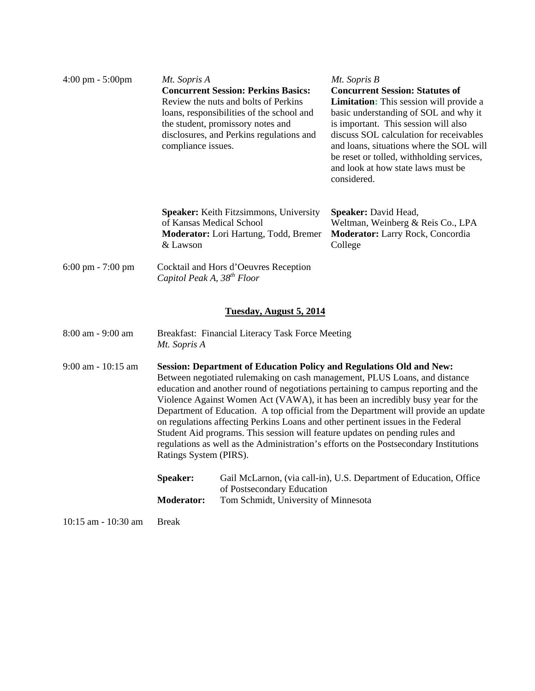| $4:00 \text{ pm} - 5:00 \text{pm}$  | Mt. Sopris A<br><b>Concurrent Session: Perkins Basics:</b><br>Review the nuts and bolts of Perkins<br>loans, responsibilities of the school and<br>the student, promissory notes and<br>disclosures, and Perkins regulations and<br>compliance issues.                                                                                                                                                                                                                                                                                                                                                                                                                                                         |                                                                                                  | Mt. Sopris B<br><b>Concurrent Session: Statutes of</b><br><b>Limitation:</b> This session will provide a<br>basic understanding of SOL and why it<br>is important. This session will also<br>discuss SOL calculation for receivables<br>and loans, situations where the SOL will<br>be reset or tolled, withholding services,<br>and look at how state laws must be<br>considered. |  |
|-------------------------------------|----------------------------------------------------------------------------------------------------------------------------------------------------------------------------------------------------------------------------------------------------------------------------------------------------------------------------------------------------------------------------------------------------------------------------------------------------------------------------------------------------------------------------------------------------------------------------------------------------------------------------------------------------------------------------------------------------------------|--------------------------------------------------------------------------------------------------|------------------------------------------------------------------------------------------------------------------------------------------------------------------------------------------------------------------------------------------------------------------------------------------------------------------------------------------------------------------------------------|--|
|                                     | of Kansas Medical School<br>& Lawson                                                                                                                                                                                                                                                                                                                                                                                                                                                                                                                                                                                                                                                                           | <b>Speaker:</b> Keith Fitzsimmons, University<br>Moderator: Lori Hartung, Todd, Bremer           | <b>Speaker:</b> David Head,<br>Weltman, Weinberg & Reis Co., LPA<br>Moderator: Larry Rock, Concordia<br>College                                                                                                                                                                                                                                                                    |  |
| $6:00 \text{ pm} - 7:00 \text{ pm}$ | Cocktail and Hors d'Oeuvres Reception<br>Capitol Peak A, 38 <sup>th</sup> Floor                                                                                                                                                                                                                                                                                                                                                                                                                                                                                                                                                                                                                                |                                                                                                  |                                                                                                                                                                                                                                                                                                                                                                                    |  |
|                                     |                                                                                                                                                                                                                                                                                                                                                                                                                                                                                                                                                                                                                                                                                                                | Tuesday, August 5, 2014                                                                          |                                                                                                                                                                                                                                                                                                                                                                                    |  |
| 8:00 am - 9:00 am                   | Breakfast: Financial Literacy Task Force Meeting<br>Mt. Sopris A                                                                                                                                                                                                                                                                                                                                                                                                                                                                                                                                                                                                                                               |                                                                                                  |                                                                                                                                                                                                                                                                                                                                                                                    |  |
| 9:00 am - 10:15 am                  | <b>Session: Department of Education Policy and Regulations Old and New:</b><br>Between negotiated rulemaking on cash management, PLUS Loans, and distance<br>education and another round of negotiations pertaining to campus reporting and the<br>Violence Against Women Act (VAWA), it has been an incredibly busy year for the<br>Department of Education. A top official from the Department will provide an update<br>on regulations affecting Perkins Loans and other pertinent issues in the Federal<br>Student Aid programs. This session will feature updates on pending rules and<br>regulations as well as the Administration's efforts on the Postsecondary Institutions<br>Ratings System (PIRS). |                                                                                                  |                                                                                                                                                                                                                                                                                                                                                                                    |  |
|                                     | Speaker:                                                                                                                                                                                                                                                                                                                                                                                                                                                                                                                                                                                                                                                                                                       | Gail McLarnon, (via call-in), U.S. Department of Education, Office<br>of Postsecondary Education |                                                                                                                                                                                                                                                                                                                                                                                    |  |
|                                     | <b>Moderator:</b><br>Tom Schmidt, University of Minnesota                                                                                                                                                                                                                                                                                                                                                                                                                                                                                                                                                                                                                                                      |                                                                                                  |                                                                                                                                                                                                                                                                                                                                                                                    |  |
| 10:15 am - 10:30 am                 | Break                                                                                                                                                                                                                                                                                                                                                                                                                                                                                                                                                                                                                                                                                                          |                                                                                                  |                                                                                                                                                                                                                                                                                                                                                                                    |  |